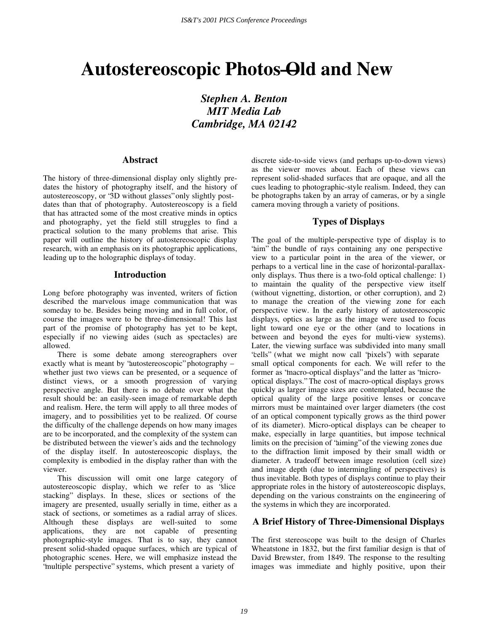# **Autostereoscopic Photos—Old and New**

*Stephen A. Benton MIT Media Lab Cambridge, MA 02142* 

## **Abstract**

The history of three-dimensional display only slightly predates the history of photography itself, and the history of autostereoscopy, or "3D without glasses" only slightly postdates than that of photography. Autostereoscopy is a field that has attracted some of the most creative minds in optics and photography, yet the field still struggles to find a practical solution to the many problems that arise. This paper will outline the history of autostereoscopic display research, with an emphasis on its photographic applications, leading up to the holographic displays of today.

## **Introduction**

Long before photography was invented, writers of fiction described the marvelous image communication that was someday to be. Besides being moving and in full color, of course the images were to be three-dimensional! This last part of the promise of photography has yet to be kept, especially if no viewing aides (such as spectacles) are allowed.

There is some debate among stereographers over exactly what is meant by "autostereoscopic" photography – whether just two views can be presented, or a sequence of distinct views, or a smooth progression of varying perspective angle. But there is no debate over what the result should be: an easily-seen image of remarkable depth and realism. Here, the term will apply to all three modes of imagery, and to possibilities yet to be realized. Of course the difficulty of the challenge depends on how many images are to be incorporated, and the complexity of the system can be distributed between the viewer's aids and the technology of the display itself. In autostereoscopic displays, the complexity is embodied in the display rather than with the viewer.

This discussion will omit one large category of autostereoscopic display, which we refer to as "slice stacking" displays. In these, slices or sections of the imagery are presented, usually serially in time, either as a stack of sections, or sometimes as a radial array of slices. Although these displays are well-suited to some applications, they are not capable of presenting photographic-style images. That is to say, they cannot present solid-shaded opaque surfaces, which are typical of photographic scenes. Here, we will emphasize instead the "multiple perspective" systems, which present a variety of

discrete side-to-side views (and perhaps up-to-down views) as the viewer moves about. Each of these views can represent solid-shaded surfaces that are opaque, and all the cues leading to photographic-style realism. Indeed, they can be photographs taken by an array of cameras, or by a single camera moving through a variety of positions.

# **Types of Displays**

The goal of the multiple-perspective type of display is to "aim" the bundle of rays containing any one perspective view to a particular point in the area of the viewer, or perhaps to a vertical line in the case of horizontal-parallaxonly displays. Thus there is a two-fold optical challenge: 1) to maintain the quality of the perspective view itself (without vignetting, distortion, or other corruption), and 2) to manage the creation of the viewing zone for each perspective view. In the early history of autostereoscopic displays, optics as large as the image were used to focus light toward one eye or the other (and to locations in between and beyond the eyes for multi-view systems). Later, the viewing surface was subdivided into many small "cells" (what we might now call "pixels") with separate small optical components for each. We will refer to the former as "macro-optical displays" and the latter as "microoptical displays." The cost of macro-optical displays grows quickly as larger image sizes are contemplated, because the optical quality of the large positive lenses or concave mirrors must be maintained over larger diameters (the cost of an optical component typically grows as the third power of its diameter). Micro-optical displays can be cheaper to make, especially in large quantities, but impose technical limits on the precision of "aiming" of the viewing zones due to the diffraction limit imposed by their small width or diameter. A tradeoff between image resolution (cell size) and image depth (due to intermingling of perspectives) is thus inevitable. Both types of displays continue to play their appropriate roles in the history of autostereoscopic displays, depending on the various constraints on the engineering of the systems in which they are incorporated.

# **A Brief History of Three-Dimensional Displays**

The first stereoscope was built to the design of Charles Wheatstone in 1832, but the first familiar design is that of David Brewster, from 1849. The response to the resulting images was immediate and highly positive, upon their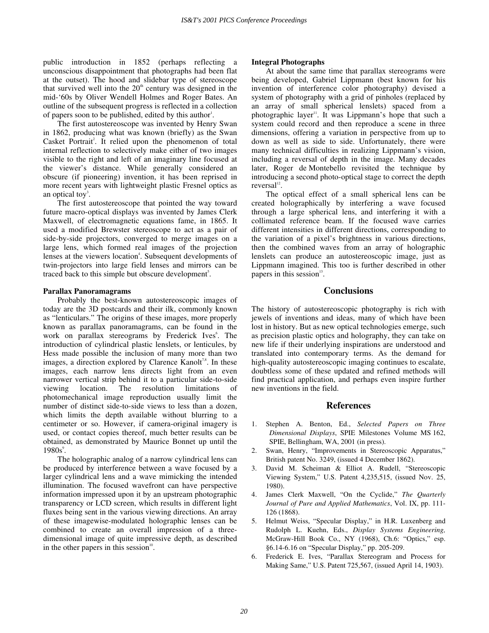public introduction in 1852 (perhaps reflecting a unconscious disappointment that photographs had been flat at the outset). The hood and slidebar type of stereoscope that survived well into the  $20<sup>th</sup>$  century was designed in the mid-'60s by Oliver Wendell Holmes and Roger Bates. An outline of the subsequent progress is reflected in a collection of papers soon to be published, edited by this author<sup>1</sup>.

The first autostereoscope was invented by Henry Swan in 1862, producing what was known (briefly) as the Swan Casket Portrait<sup>2</sup>. It relied upon the phenomenon of total internal reflection to selectively make either of two images visible to the right and left of an imaginary line focused at the viewer's distance. While generally considered an obscure (if pioneering) invention, it has been reprised in more recent years with lightweight plastic Fresnel optics as an optical toy<sup>3</sup>.

The first autostereoscope that pointed the way toward future macro-optical displays was invented by James Clerk Maxwell, of electromagnetic equations fame, in 1865. It used a modified Brewster stereoscope to act as a pair of side-by-side projectors, converged to merge images on a large lens, which formed real images of the projection lenses at the viewers location<sup>4</sup>. Subsequent developments of twin-projectors into large field lenses and mirrors can be traced back to this simple but obscure development<sup>5</sup>.

#### **Parallax Panoramagrams**

Probably the best-known autostereoscopic images of today are the 3D postcards and their ilk, commonly known as "lenticulars." The origins of these images, more properly known as parallax panoramagrams, can be found in the work on parallax stereograms by Frederick Ives<sup>6</sup>. The introduction of cylindrical plastic lenslets, or lenticules, by Hess made possible the inclusion of many more than two images, a direction explored by Clarence Kanolt<sup>7,8</sup>. In these images, each narrow lens directs light from an even narrower vertical strip behind it to a particular side-to-side viewing location. The resolution limitations of photomechanical image reproduction usually limit the number of distinct side-to-side views to less than a dozen, which limits the depth available without blurring to a centimeter or so. However, if camera-original imagery is used, or contact copies thereof, much better results can be obtained, as demonstrated by Maurice Bonnet up until the  $1980s^9$ .

The holographic analog of a narrow cylindrical lens can be produced by interference between a wave focused by a larger cylindrical lens and a wave mimicking the intended illumination. The focused wavefront can have perspective information impressed upon it by an upstream photographic transparency or LCD screen, which results in different light fluxes being sent in the various viewing directions. An array of these imagewise-modulated holographic lenses can be combined to create an overall impression of a threedimensional image of quite impressive depth, as described in the other papers in this session $10$ .

#### **Integral Photographs**

At about the same time that parallax stereograms were being developed, Gabriel Lippmann (best known for his invention of interference color photography) devised a system of photography with a grid of pinholes (replaced by an array of small spherical lenslets) spaced from a photographic layer<sup>11</sup>. It was Lippmann's hope that such a system could record and then reproduce a scene in three dimensions, offering a variation in perspective from up to down as well as side to side. Unfortunately, there were many technical difficulties in realizing Lippmann's vision, including a reversal of depth in the image. Many decades later, Roger de Montebello revisited the technique by introducing a second photo-optical stage to correct the depth reversal $^{12}$ .

The optical effect of a small spherical lens can be created holographically by interfering a wave focused through a large spherical lens, and interfering it with a collimated reference beam. If the focused wave carries different intensities in different directions, corresponding to the variation of a pixel's brightness in various directions, then the combined waves from an array of holographic lenslets can produce an autostereoscopic image, just as Lippmann imagined. This too is further described in other papers in this session $13$ .

### **Conclusions**

The history of autostereoscopic photography is rich with jewels of inventions and ideas, many of which have been lost in history. But as new optical technologies emerge, such as precision plastic optics and holography, they can take on new life if their underlying inspirations are understood and translated into contemporary terms. As the demand for high-quality autostereoscopic imaging continues to escalate, doubtless some of these updated and refined methods will find practical application, and perhaps even inspire further new inventions in the field.

## **References**

- 1. Stephen A. Benton, Ed., *Selected Papers on Three Dimensional Displays*, SPIE Milestones Volume MS 162, SPIE, Bellingham, WA, 2001 (in press).
- 2. Swan, Henry, "Improvements in Stereoscopic Apparatus," British patent No. 3249, (issued 4 December 1862).
- 3. David M. Scheiman & Elliot A. Rudell, " Stereoscopic Viewing System," U.S. Patent 4,235,515, (issued Nov. 25, 1980).
- 4. James Clerk Maxwell, "On the Cyclide," The Quarterly *Journal of Pure and Applied Mathematics*, Vol. IX, pp. 111- 126 (1868).
- 5. Helmut Weiss, " Specular Display," in H.R. Luxenberg and Rudolph L. Kuehn, Eds., *Display Systems Engineering,* McGraw-Hill Book Co., NY (1968), Ch.6: "Optics," esp. § 6.14-6.16 on " Specular Display," pp. 205-209.
- 6. Frederick E. Ives, " Parallax Stereogram and Process for Making Same," U.S. Patent 725,567, (issued April 14, 1903).